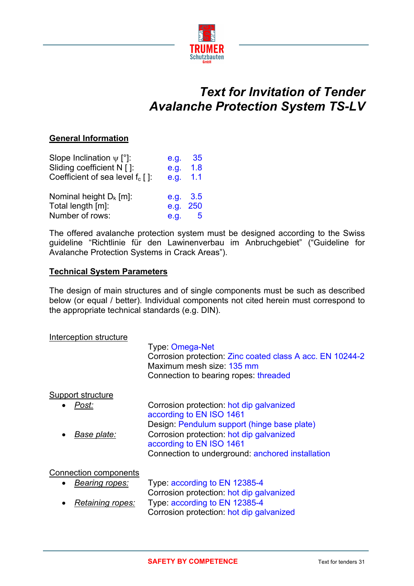

## *Text for Invitation of Tender Avalanche Protection System TS-LV*

## **General Information**

| Slope Inclination $\psi$ [°]:       | e.g. | 35  |
|-------------------------------------|------|-----|
| Sliding coefficient N []:           | e.g. | 1.8 |
| Coefficient of sea level $f_c$ [ ]: | e.g. | 1.1 |
| Nominal height $D_k$ [m]:           | e.g. | 3.5 |
| Total length [m]:                   | e.g. | 250 |
| Number of rows:                     | e.g. | 5   |

The offered avalanche protection system must be designed according to the Swiss guideline "Richtlinie für den Lawinenverbau im Anbruchgebiet" ("Guideline for Avalanche Protection Systems in Crack Areas").

## **Technical System Parameters**

The design of main structures and of single components must be such as described below (or equal / better). Individual components not cited herein must correspond to the appropriate technical standards (e.g. DIN).

| Interception structure                  | Type: Omega-Net<br>Corrosion protection: Zinc coated class A acc. EN 10244-2<br>Maximum mesh size: 135 mm<br>Connection to bearing ropes threaded |
|-----------------------------------------|---------------------------------------------------------------------------------------------------------------------------------------------------|
| Support structure<br>Post:              | Corrosion protection: hot dip galvanized                                                                                                          |
| Base plate:                             | according to EN ISO 1461<br>Design: Pendulum support (hinge base plate)<br>Corrosion protection: hot dip galvanized                               |
|                                         | according to EN ISO 1461<br>Connection to underground: anchored installation                                                                      |
| Connection components<br>Bearing ropes: | Type: according to EN 12385-4<br>Corrogian protection, hot din golvanized                                                                         |

Corrosion protection: hot dip galvanized • *Retaining ropes:* Type: according to EN 12385-4 Corrosion protection: hot dip galvanized